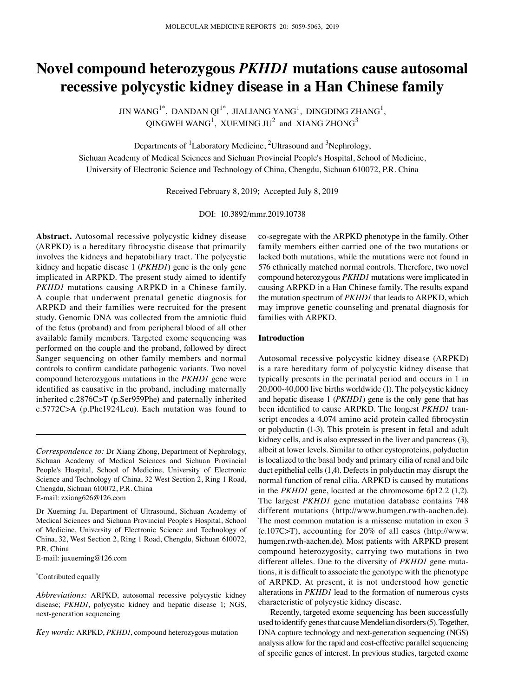# **Novel compound heterozygous** *PKHD1* **mutations cause autosomal recessive polycystic kidney disease in a Han Chinese family**

JIN WANG $^{1^{\ast}}$ , DANDAN QI $^{1^{\ast}}$ , JIALIANG YANG $^{1}$ , DINGDING ZHANG $^{1}$ , QINGWEI WANG<sup>1</sup>, XUEMING JU<sup>2</sup> and XIANG ZHONG<sup>3</sup>

Departments of  ${}^{1}$ Laboratory Medicine,  ${}^{2}$ Ultrasound and  ${}^{3}$ Nephrology,

Sichuan Academy of Medical Sciences and Sichuan Provincial People's Hospital, School of Medicine, University of Electronic Science and Technology of China, Chengdu, Sichuan 610072, P.R. China

Received February 8, 2019; Accepted July 8, 2019

DOI: 10.3892/mmr.2019.10738

**Abstract.** Autosomal recessive polycystic kidney disease (ARPKD) is a hereditary fibrocystic disease that primarily involves the kidneys and hepatobiliary tract. The polycystic kidney and hepatic disease 1 (*PKHD1*) gene is the only gene implicated in ARPKD. The present study aimed to identify *PKHD1* mutations causing ARPKD in a Chinese family. A couple that underwent prenatal genetic diagnosis for ARPKD and their families were recruited for the present study. Genomic DNA was collected from the amniotic fluid of the fetus (proband) and from peripheral blood of all other available family members. Targeted exome sequencing was performed on the couple and the proband, followed by direct Sanger sequencing on other family members and normal controls to confirm candidate pathogenic variants. Two novel compound heterozygous mutations in the *PKHD1* gene were identified as causative in the proband, including maternally inherited c.2876C>T (p.Ser959Phe) and paternally inherited c.5772C>A (p.Phe1924Leu). Each mutation was found to

*Correspondence to:* Dr Xiang Zhong, Department of Nephrology, Sichuan Academy of Medical Sciences and Sichuan Provincial People's Hospital, School of Medicine, University of Electronic Science and Technology of China, 32 West Section 2, Ring 1 Road, Chengdu, Sichuan 610072, P.R. China

E‑mail: zxiang626@126.com

Dr Xueming Ju, Department of Ultrasound, Sichuan Academy of Medical Sciences and Sichuan Provincial People's Hospital, School of Medicine, University of Electronic Science and Technology of China, 32, West Section 2, Ring 1 Road, Chengdu, Sichuan 610072, P.R. China

E‑mail: juxueming@126.com

\* Contributed equally

*Abbreviations:* ARPKD, autosomal recessive polycystic kidney disease; *PKHD1*, polycystic kidney and hepatic disease 1; NGS, next‑generation sequencing

*Key words:* ARPKD, *PKHD1*, compound heterozygous mutation

co‑segregate with the ARPKD phenotype in the family. Other family members either carried one of the two mutations or lacked both mutations, while the mutations were not found in 576 ethnically matched normal controls. Therefore, two novel compound heterozygous *PKHD1* mutations were implicated in causing ARPKD in a Han Chinese family. The results expand the mutation spectrum of *PKHD1* that leads to ARPKD, which may improve genetic counseling and prenatal diagnosis for families with ARPKD.

#### **Introduction**

Autosomal recessive polycystic kidney disease (ARPKD) is a rare hereditary form of polycystic kidney disease that typically presents in the perinatal period and occurs in 1 in 20,000‑40,000 live births worldwide (1). The polycystic kidney and hepatic disease 1 (*PKHD1*) gene is the only gene that has been identified to cause ARPKD. The longest *PKHD1* transcript encodes a 4,074 amino acid protein called fibrocystin or polyductin (1‑3). This protein is present in fetal and adult kidney cells, and is also expressed in the liver and pancreas (3), albeit at lower levels. Similar to other cystoproteins, polyductin is localized to the basal body and primary cilia of renal and bile duct epithelial cells (1,4). Defects in polyductin may disrupt the normal function of renal cilia. ARPKD is caused by mutations in the *PKHD1* gene, located at the chromosome 6p12.2 (1,2). The largest *PKHD1* gene mutation database contains 748 different mutations (http://www.humgen.rwth-aachen.de). The most common mutation is a missense mutation in exon 3 (c.107C>T), accounting for 20% of all cases (http://www. humgen.rwth-aachen.de). Most patients with ARPKD present compound heterozygosity, carrying two mutations in two different alleles. Due to the diversity of *PKHD1* gene mutations, it is difficult to associate the genotype with the phenotype of ARPKD. At present, it is not understood how genetic alterations in *PKHD1* lead to the formation of numerous cysts characteristic of polycystic kidney disease.

Recently, targeted exome sequencing has been successfully used to identify genes that cause Mendelian disorders(5). Together, DNA capture technology and next-generation sequencing (NGS) analysis allow for the rapid and cost‑effective parallel sequencing of specific genes of interest. In previous studies, targeted exome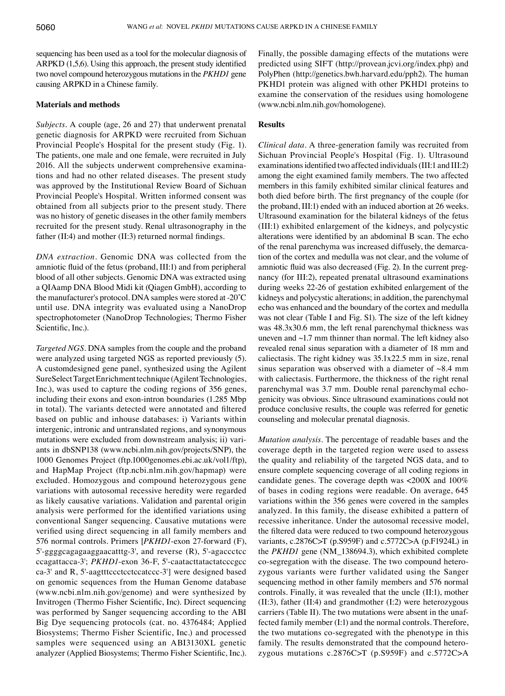sequencing has been used as a tool for the molecular diagnosis of ARPKD (1,5,6). Using this approach, the present study identified two novel compound heterozygous mutations in the *PKHD1* gene causing ARPKD in a Chinese family.

## **Materials and methods**

*Subjects.* A couple (age, 26 and 27) that underwent prenatal genetic diagnosis for ARPKD were recruited from Sichuan Provincial People's Hospital for the present study (Fig. 1). The patients, one male and one female, were recruited in July 2016. All the subjects underwent comprehensive examinations and had no other related diseases. The present study was approved by the Institutional Review Board of Sichuan Provincial People's Hospital. Written informed consent was obtained from all subjects prior to the present study. There was no history of genetic diseases in the other family members recruited for the present study. Renal ultrasonography in the father (II:4) and mother (II:3) returned normal findings.

*DNA extraction.* Genomic DNA was collected from the amniotic fluid of the fetus (proband, III:1) and from peripheral blood of all other subjects. Genomic DNA was extracted using a QIAamp DNA Blood Midi kit (Qiagen GmbH), according to the manufacturer's protocol. DNA samples were stored at ‑20˚C until use. DNA integrity was evaluated using a NanoDrop spectrophotometer (NanoDrop Technologies; Thermo Fisher Scientific, Inc.).

*Targeted NGS.* DNA samples from the couple and the proband were analyzed using targeted NGS as reported previously (5). A customdesigned gene panel, synthesized using the Agilent SureSelect Target Enrichment technique (Agilent Technologies, Inc.), was used to capture the coding regions of 356 genes, including their exons and exon-intron boundaries (1.285 Mbp) in total). The variants detected were annotated and filtered based on public and inhouse databases: i) Variants within intergenic, intronic and untranslated regions, and synonymous mutations were excluded from downstream analysis; ii) variants in dbSNP138 (www.ncbi.nlm.nih.gov/projects/SNP), the 1000 Genomes Project (ftp.1000genomes.ebi.ac.uk/vol1/ftp), and HapMap Project (ftp.ncbi.nlm.nih.gov/hapmap) were excluded. Homozygous and compound heterozygous gene variations with autosomal recessive heredity were regarded as likely causative variations. Validation and parental origin analysis were performed for the identified variations using conventional Sanger sequencing. Causative mutations were verified using direct sequencing in all family members and 576 normal controls. Primers [*PKHD1*‑exon 27‑forward (F), 5'‑ggggcagagaaggaacatttg‑3', and reverse (R), 5'‑agaccctcc ccagattacca‑3'; *PKHD1*‑exon 36‑F, 5'‑caatacttatactatcccgcc ca‑3' and R, 5'‑aagtttccctcctccatccc‑3'] were designed based on genomic sequences from the Human Genome database (www.ncbi.nlm.nih.gov/genome) and were synthesized by Invitrogen (Thermo Fisher Scientific, Inc). Direct sequencing was performed by Sanger sequencing according to the ABI Big Dye sequencing protocols (cat. no. 4376484; Applied Biosystems; Thermo Fisher Scientific, Inc.) and processed samples were sequenced using an ABI3130XL genetic analyzer (Applied Biosystems; Thermo Fisher Scientific, Inc.). Finally, the possible damaging effects of the mutations were predicted using SIFT (http://provean.jcvi.org/index.php) and PolyPhen (http://genetics.bwh.harvard.edu/pph2). The human PKHD1 protein was aligned with other PKHD1 proteins to examine the conservation of the residues using homologene (www.ncbi.nlm.nih.gov/homologene).

## **Results**

*Clinical data.* A three‑generation family was recruited from Sichuan Provincial People's Hospital (Fig. 1). Ultrasound examinations identified two affected individuals (III:1 and III:2) among the eight examined family members. The two affected members in this family exhibited similar clinical features and both died before birth. The first pregnancy of the couple (for the proband, III:1) ended with an induced abortion at 26 weeks. Ultrasound examination for the bilateral kidneys of the fetus (III:1) exhibited enlargement of the kidneys, and polycystic alterations were identified by an abdominal B scan. The echo of the renal parenchyma was increased diffusely, the demarcation of the cortex and medulla was not clear, and the volume of amniotic fluid was also decreased (Fig. 2). In the current pregnancy (for III:2), repeated prenatal ultrasound examinations during weeks 22‑26 of gestation exhibited enlargement of the kidneys and polycystic alterations; in addition, the parenchymal echo was enhanced and the boundary of the cortex and medulla was not clear (Table I and Fig. S1). The size of the left kidney was 48.3x30.6 mm, the left renal parenchymal thickness was uneven and ~1.7 mm thinner than normal. The left kidney also revealed renal sinus separation with a diameter of 18 mm and caliectasis. The right kidney was 35.1x22.5 mm in size, renal sinus separation was observed with a diameter of  $\sim 8.4$  mm with caliectasis. Furthermore, the thickness of the right renal parenchymal was 3.7 mm. Double renal parenchymal echogenicity was obvious. Since ultrasound examinations could not produce conclusive results, the couple was referred for genetic counseling and molecular prenatal diagnosis.

*Mutation analysis.* The percentage of readable bases and the coverage depth in the targeted region were used to assess the quality and reliability of the targeted NGS data, and to ensure complete sequencing coverage of all coding regions in candidate genes. The coverage depth was <200X and 100% of bases in coding regions were readable. On average, 645 variations within the 356 genes were covered in the samples analyzed. In this family, the disease exhibited a pattern of recessive inheritance. Under the autosomal recessive model, the filtered data were reduced to two compound heterozygous variants, c.2876C>T (p.S959F) and c.5772C>A (p.F1924L) in the *PKHD1* gene (NM\_138694.3), which exhibited complete co‑segregation with the disease. The two compound heterozygous variants were further validated using the Sanger sequencing method in other family members and 576 normal controls. Finally, it was revealed that the uncle (II:1), mother (II:3), father (II:4) and grandmother (I:2) were heterozygous carriers (Table II). The two mutations were absent in the unaffected family member (I:1) and the normal controls. Therefore, the two mutations co-segregated with the phenotype in this family. The results demonstrated that the compound heterozygous mutations c.2876C>T (p.S959F) and c.5772C>A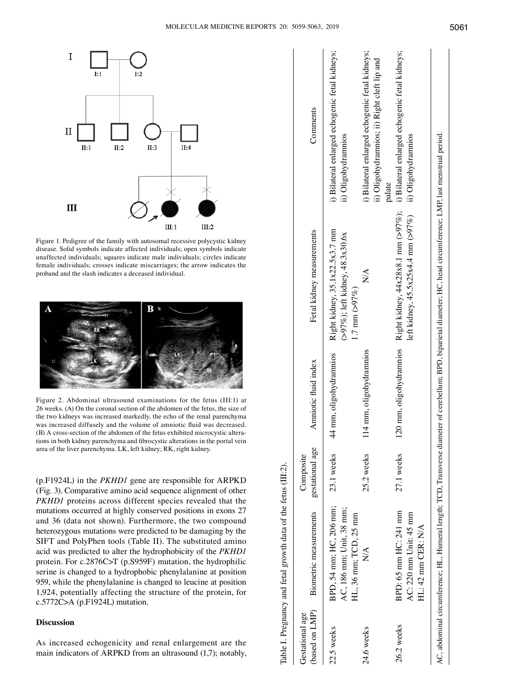

Figure 1. Pedigree of the family with autosomal recessive polycystic kidney disease. Solid symbols indicate affected individuals; open symbols indicate unaffected individuals; squares indicate male individuals; circles indicate female individuals; crosses indicate miscarriages; the arrow indicates the proband and the slash indicates a deceased individual.



Figure 2. Abdominal ultrasound examinations for the fetus (III:1) at 26 weeks. (A) On the coronal section of the abdomen of the fetus, the size of the two kidneys was increased markedly, the echo of the renal parenchyma was increased diffusely and the volume of amniotic fluid was decreased. (B) A cross‑section of the abdomen of the fetus exhibited microcystic alterations in both kidney parenchyma and fibrocystic alterations in the portal vein area of the liver parenchyma. LK, left kidney; RK, right kidney.

(p.F1924L) in the *PKHD1* gene are responsible for ARPKD (Fig. 3). Comparative amino acid sequence alignment of other *PKHD1* proteins across different species revealed that the mutations occurred at highly conserved positions in exons 27 and 36 (data not shown). Furthermore, the two compound heterozygous mutations were predicted to be damaging by the SIFT and PolyPhen tools (Table II). The substituted amino acid was predicted to alter the hydrophobicity of the *PKHD1* protein. For c.2876C>T (p.S959F) mutation, the hydrophilic serine is changed to a hydrophobic phenylalanine at position 959, while the phenylalanine is changed to leucine at position 1,924, potentially affecting the structure of the protein, for c.5772C>A (p.F1924L) mutation.

## **Discussion**

As increased echogenicity and renal enlargement are the main indicators of ARPKD from an ultrasound (1,7); notably,

|                                   | Table I. Pregnancy and fetal growth data of the fetus (III:2).               |                              |                                      |                                                                                                                                                                        |                                                                                                          |
|-----------------------------------|------------------------------------------------------------------------------|------------------------------|--------------------------------------|------------------------------------------------------------------------------------------------------------------------------------------------------------------------|----------------------------------------------------------------------------------------------------------|
| (based on LMP)<br>Gestational age | Biometric measurements                                                       | gestational age<br>Composite | Amniotic fluid index                 | Fetal kidney measurements                                                                                                                                              | Comments                                                                                                 |
| 22.5 weeks                        | BPD, 54 mm; HC, 206 mm;<br>AC, 186 mm; Unit, 38 mm;<br>HL, 36 mm; TCD, 25 mm | 23.1 weeks                   | mm, oligohydramnios<br>$\frac{1}{4}$ | Right kidney, 35.1x22.5x3.7 mm<br>$( >97\%)$ ; left kidney, 48.3x30.6x<br>$1.7 \text{ mm} (>97\%)$                                                                     | i) Bilateral enlarged echogenic fetal kidneys;<br>ii) Oligohydramnios                                    |
| 24.6 weeks                        | $\overline{\mathsf{X}}$                                                      | 25.2 weeks                   | 114 mm, oligohydrannios              | $\stackrel{\triangle}{\geq}$                                                                                                                                           | i) Bilateral enlarged echogenic fetal kidneys;<br>ii) Oligohydramnios; ii) Right cleft lip and<br>palate |
| 26.2 weeks                        | BPD: 65 mm HC: 241 mm<br>AC: $220$ mm Unit: $45$ mm<br>HL: 42 mm CER: N/A    | 27.1 weeks                   | mm, oligohydramnios<br>120           | Right kidney, $44x28x8.1$ mm (>97%);<br>left kidney, 45.5x25x4.4 mm $(>97\%)$                                                                                          | i) Bilateral enlarged echogenic fetal kidneys;<br>ii) Oligohydrannios                                    |
|                                   |                                                                              |                              |                                      | AC, abdominal circumference; HL, Humeral length; TCD, Transverse diameter of cerebellum; BPD, biparietal diameter; HC, head circumference; LMP, last menstrual period. |                                                                                                          |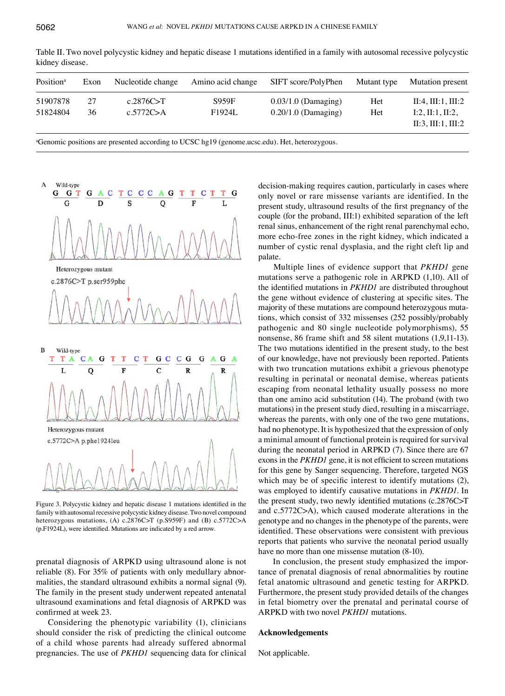

Table II. Two novel polycystic kidney and hepatic disease 1 mutations identified in a family with autosomal recessive polycystic kidney disease.

a Genomic positions are presented according to UCSC hg19 (genome.ucsc.edu). Het, heterozygous.



Figure 3. Polycystic kidney and hepatic disease 1 mutations identified in the family with autosomal recessive polycystic kidney disease. Two novel compound heterozygous mutations, (A) c.2876C>T (p.S959F) and (B) c.5772C>A (p.F1924L), were identified. Mutations are indicated by a red arrow.

prenatal diagnosis of ARPKD using ultrasound alone is not reliable (8). For 35% of patients with only medullary abnormalities, the standard ultrasound exhibits a normal signal (9). The family in the present study underwent repeated antenatal ultrasound examinations and fetal diagnosis of ARPKD was confirmed at week 23.

Considering the phenotypic variability (1), clinicians should consider the risk of predicting the clinical outcome of a child whose parents had already suffered abnormal pregnancies. The use of *PKHD1* sequencing data for clinical decision-making requires caution, particularly in cases where only novel or rare missense variants are identified. In the present study, ultrasound results of the first pregnancy of the couple (for the proband, III:1) exhibited separation of the left renal sinus, enhancement of the right renal parenchymal echo, more echo‑free zones in the right kidney, which indicated a number of cystic renal dysplasia, and the right cleft lip and palate.

 Multiple lines of evidence support that *PKHD1* gene mutations serve a pathogenic role in ARPKD (1,10). All of the identified mutations in *PKHD1* are distributed throughout the gene without evidence of clustering at specific sites. The majority of these mutations are compound heterozygous mutations, which consist of 332 missenses (252 possibly/probably pathogenic and 80 single nucleotide polymorphisms), 55 nonsense, 86 frame shift and 58 silent mutations (1,9,11-13). The two mutations identified in the present study, to the best of our knowledge, have not previously been reported. Patients with two truncation mutations exhibit a grievous phenotype resulting in perinatal or neonatal demise, whereas patients escaping from neonatal lethality usually possess no more than one amino acid substitution (14). The proband (with two mutations) in the present study died, resulting in a miscarriage, whereas the parents, with only one of the two gene mutations, had no phenotype. It is hypothesized that the expression of only a minimal amount of functional protein is required for survival during the neonatal period in ARPKD (7). Since there are 67 exons in the *PKHD1* gene, it is not efficient to screen mutations for this gene by Sanger sequencing. Therefore, targeted NGS which may be of specific interest to identify mutations (2), was employed to identify causative mutations in *PKHD1*. In the present study, two newly identified mutations (c.2876C>T and c.5772C>A), which caused moderate alterations in the genotype and no changes in the phenotype of the parents, were identified. These observations were consistent with previous reports that patients who survive the neonatal period usually have no more than one missense mutation  $(8-10)$ .

In conclusion, the present study emphasized the importance of prenatal diagnosis of renal abnormalities by routine fetal anatomic ultrasound and genetic testing for ARPKD. Furthermore, the present study provided details of the changes in fetal biometry over the prenatal and perinatal course of ARPKD with two novel *PKHD1* mutations.

#### **Acknowledgements**

Not applicable.